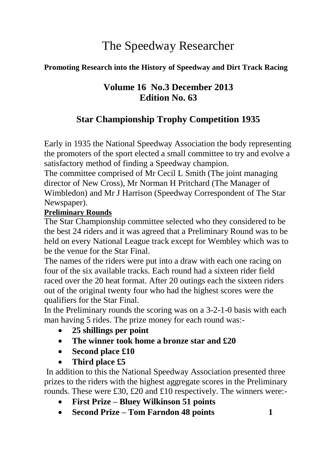# The Speedway Researcher

## **Promoting Research into the History of Speedway and Dirt Track Racing**

# **Volume 16 No.3 December 2013 Edition No. 63**

# **Star Championship Trophy Competition 1935**

Early in 1935 the National Speedway Association the body representing the promoters of the sport elected a small committee to try and evolve a satisfactory method of finding a Speedway champion.

The committee comprised of Mr Cecil L Smith (The joint managing director of New Cross), Mr Norman H Pritchard (The Manager of Wimbledon) and Mr J Harrison (Speedway Correspondent of The Star Newspaper).

#### **Preliminary Rounds**

The Star Championship committee selected who they considered to be the best 24 riders and it was agreed that a Preliminary Round was to be held on every National League track except for Wembley which was to be the venue for the Star Final.

The names of the riders were put into a draw with each one racing on four of the six available tracks. Each round had a sixteen rider field raced over the 20 heat format. After 20 outings each the sixteen riders out of the original twenty four who had the highest scores were the qualifiers for the Star Final.

In the Preliminary rounds the scoring was on a 3-2-1-0 basis with each man having 5 rides. The prize money for each round was:-

- **25 shillings per point**
- **The winner took home a bronze star and £20**
- Second place £10
- **Third place £5**

In addition to this the National Speedway Association presented three prizes to the riders with the highest aggregate scores in the Preliminary rounds. These were £30, £20 and £10 respectively. The winners were:-

- **First Prize – Bluey Wilkinson 51 points**
- **Second Prize – Tom Farndon 48 points 1**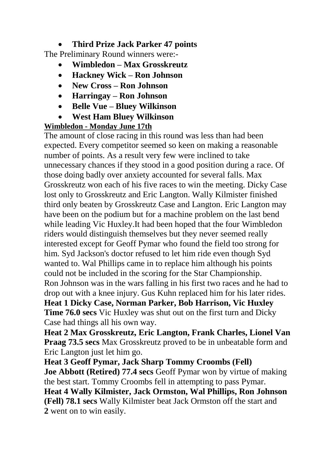## **Third Prize Jack Parker 47 points**

The Preliminary Round winners were:-

- **Wimbledon – Max Grosskreutz**
- **Hackney Wick – Ron Johnson**
- **New Cross – Ron Johnson**
- **Harringay – Ron Johnson**
- **Belle Vue – Bluey Wilkinson**
- **West Ham Bluey Wilkinson**

## **Wimbledon - Monday June 17th**

The amount of close racing in this round was less than had been expected. Every competitor seemed so keen on making a reasonable number of points. As a result very few were inclined to take unnecessary chances if they stood in a good position during a race. Of those doing badly over anxiety accounted for several falls. Max Grosskreutz won each of his five races to win the meeting. Dicky Case lost only to Grosskreutz and Eric Langton. Wally Kilmister finished third only beaten by Grosskreutz Case and Langton. Eric Langton may have been on the podium but for a machine problem on the last bend while leading Vic Huxley.It had been hoped that the four Wimbledon riders would distinguish themselves but they never seemed really interested except for Geoff Pymar who found the field too strong for him. Syd Jackson's doctor refused to let him ride even though Syd wanted to. Wal Phillips came in to replace him although his points could not be included in the scoring for the Star Championship. Ron Johnson was in the wars falling in his first two races and he had to drop out with a knee injury. Gus Kuhn replaced him for his later rides. **Heat 1 Dicky Case, Norman Parker, Bob Harrison, Vic Huxley Time 76.0 secs** Vic Huxley was shut out on the first turn and Dicky Case had things all his own way.

**Heat 2 Max Grosskreutz, Eric Langton, Frank Charles, Lionel Van Praag 73.5 secs** Max Grosskreutz proved to be in unbeatable form and Eric Langton just let him go.

**Heat 3 Geoff Pymar, Jack Sharp Tommy Croombs (Fell) Joe Abbott (Retired) 77.4 secs** Geoff Pymar won by virtue of making the best start. Tommy Croombs fell in attempting to pass Pymar. **Heat 4 Wally Kilmister, Jack Ormston, Wal Phillips, Ron Johnson (Fell) 78.1 secs** Wally Kilmister beat Jack Ormston off the start and **2** went on to win easily.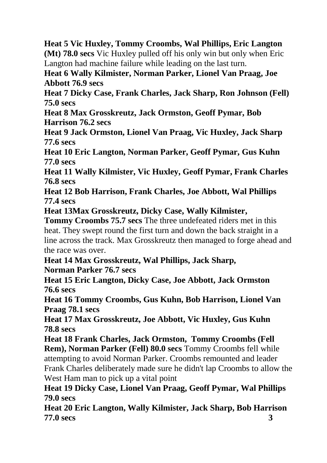**Heat 5 Vic Huxley, Tommy Croombs, Wal Phillips, Eric Langton (Mt) 78.0 secs** Vic Huxley pulled off his only win but only when Eric Langton had machine failure while leading on the last turn.

**Heat 6 Wally Kilmister, Norman Parker, Lionel Van Praag, Joe Abbott 76.9 secs**

**Heat 7 Dicky Case, Frank Charles, Jack Sharp, Ron Johnson (Fell) 75.0 secs**

**Heat 8 Max Grosskreutz, Jack Ormston, Geoff Pymar, Bob Harrison 76.2 secs**

**Heat 9 Jack Ormston, Lionel Van Praag, Vic Huxley, Jack Sharp 77.6 secs**

**Heat 10 Eric Langton, Norman Parker, Geoff Pymar, Gus Kuhn 77.0 secs**

**Heat 11 Wally Kilmister, Vic Huxley, Geoff Pymar, Frank Charles 76.8 secs**

**Heat 12 Bob Harrison, Frank Charles, Joe Abbott, Wal Phillips 77.4 secs**

**Heat 13Max Grosskreutz, Dicky Case, Wally Kilmister,** 

**Tommy Croombs 75.7 secs** The three undefeated riders met in this heat. They swept round the first turn and down the back straight in a line across the track. Max Grosskreutz then managed to forge ahead and the race was over.

**Heat 14 Max Grosskreutz, Wal Phillips, Jack Sharp,** 

**Norman Parker 76.7 secs**

**Heat 15 Eric Langton, Dicky Case, Joe Abbott, Jack Ormston 76.6 secs**

**Heat 16 Tommy Croombs, Gus Kuhn, Bob Harrison, Lionel Van Praag 78.1 secs**

**Heat 17 Max Grosskreutz, Joe Abbott, Vic Huxley, Gus Kuhn 78.8 secs**

**Heat 18 Frank Charles, Jack Ormston, Tommy Croombs (Fell Rem), Norman Parker (Fell) 80.0 secs** Tommy Croombs fell while attempting to avoid Norman Parker. Croombs remounted and leader Frank Charles deliberately made sure he didn't lap Croombs to allow the West Ham man to pick up a vital point

**Heat 19 Dicky Case, Lionel Van Praag, Geoff Pymar, Wal Phillips 79.0 secs**

**Heat 20 Eric Langton, Wally Kilmister, Jack Sharp, Bob Harrison 77.0 secs 3**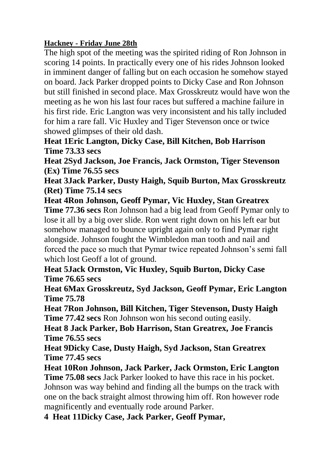### **Hackney - Friday June 28th**

The high spot of the meeting was the spirited riding of Ron Johnson in scoring 14 points. In practically every one of his rides Johnson looked in imminent danger of falling but on each occasion he somehow stayed on board. Jack Parker dropped points to Dicky Case and Ron Johnson but still finished in second place. Max Grosskreutz would have won the meeting as he won his last four races but suffered a machine failure in his first ride. Eric Langton was very inconsistent and his tally included for him a rare fall. Vic Huxley and Tiger Stevenson once or twice showed glimpses of their old dash.

**Heat 1Eric Langton, Dicky Case, Bill Kitchen, Bob Harrison Time 73.33 secs**

**Heat 2Syd Jackson, Joe Francis, Jack Ormston, Tiger Stevenson (Ex) Time 76.55 secs**

**Heat 3Jack Parker, Dusty Haigh, Squib Burton, Max Grosskreutz (Ret) Time 75.14 secs**

**Heat 4Ron Johnson, Geoff Pymar, Vic Huxley, Stan Greatrex Time 77.36 secs** Ron Johnson had a big lead from Geoff Pymar only to lose it all by a big over slide. Ron went right down on his left ear but somehow managed to bounce upright again only to find Pymar right alongside. Johnson fought the Wimbledon man tooth and nail and forced the pace so much that Pymar twice repeated Johnson's semi fall which lost Geoff a lot of ground.

**Heat 5Jack Ormston, Vic Huxley, Squib Burton, Dicky Case Time 76.65 secs**

**Heat 6Max Grosskreutz, Syd Jackson, Geoff Pymar, Eric Langton Time 75.78**

**Heat 7Ron Johnson, Bill Kitchen, Tiger Stevenson, Dusty Haigh Time 77.42 secs** Ron Johnson won his second outing easily.

**Heat 8 Jack Parker, Bob Harrison, Stan Greatrex, Joe Francis Time 76.55 secs**

**Heat 9Dicky Case, Dusty Haigh, Syd Jackson, Stan Greatrex Time 77.45 secs**

**Heat 10Ron Johnson, Jack Parker, Jack Ormston, Eric Langton** 

**Time 75.08 secs** Jack Parker looked to have this race in his pocket. Johnson was way behind and finding all the bumps on the track with one on the back straight almost throwing him off. Ron however rode magnificently and eventually rode around Parker.

**4 Heat 11Dicky Case, Jack Parker, Geoff Pymar,**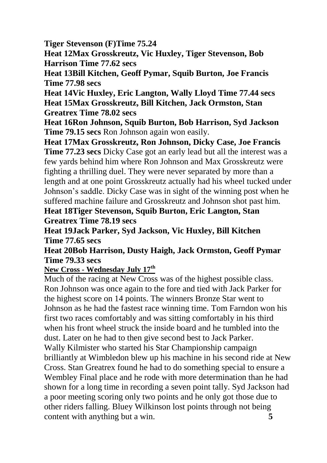**Tiger Stevenson (F)Time 75.24**

**Heat 12Max Grosskreutz, Vic Huxley, Tiger Stevenson, Bob Harrison Time 77.62 secs**

**Heat 13Bill Kitchen, Geoff Pymar, Squib Burton, Joe Francis Time 77.98 secs**

**Heat 14Vic Huxley, Eric Langton, Wally Lloyd Time 77.44 secs Heat 15Max Grosskreutz, Bill Kitchen, Jack Ormston, Stan Greatrex Time 78.02 secs**

**Heat 16Ron Johnson, Squib Burton, Bob Harrison, Syd Jackson Time 79.15 secs** Ron Johnson again won easily.

**Heat 17Max Grosskreutz, Ron Johnson, Dicky Case, Joe Francis Time 77.23 secs** Dicky Case got an early lead but all the interest was a few yards behind him where Ron Johnson and Max Grosskreutz were fighting a thrilling duel. They were never separated by more than a length and at one point Grosskreutz actually had his wheel tucked under Johnson's saddle. Dicky Case was in sight of the winning post when he suffered machine failure and Grosskreutz and Johnson shot past him.

**Heat 18Tiger Stevenson, Squib Burton, Eric Langton, Stan Greatrex Time 78.19 secs**

**Heat 19Jack Parker, Syd Jackson, Vic Huxley, Bill Kitchen Time 77.65 secs**

**Heat 20Bob Harrison, Dusty Haigh, Jack Ormston, Geoff Pymar Time 79.33 secs**

**New Cross - Wednesday July 17th**

Much of the racing at New Cross was of the highest possible class. Ron Johnson was once again to the fore and tied with Jack Parker for the highest score on 14 points. The winners Bronze Star went to Johnson as he had the fastest race winning time. Tom Farndon won his first two races comfortably and was sitting comfortably in his third when his front wheel struck the inside board and he tumbled into the dust. Later on he had to then give second best to Jack Parker. Wally Kilmister who started his Star Championship campaign brilliantly at Wimbledon blew up his machine in his second ride at New Cross. Stan Greatrex found he had to do something special to ensure a Wembley Final place and he rode with more determination than he had shown for a long time in recording a seven point tally. Syd Jackson had a poor meeting scoring only two points and he only got those due to other riders falling. Bluey Wilkinson lost points through not being content with anything but a win. **5**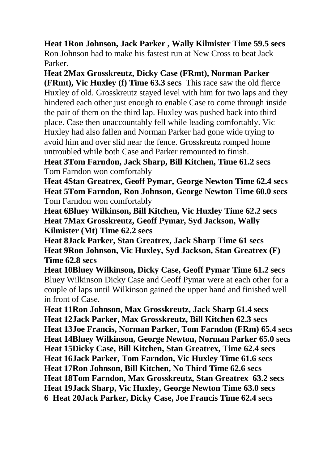**Heat 1Ron Johnson, Jack Parker , Wally Kilmister Time 59.5 secs** Ron Johnson had to make his fastest run at New Cross to beat Jack Parker.

**Heat 2Max Grosskreutz, Dicky Case (FRmt), Norman Parker (FRmt), Vic Huxley (f) Time 63.3 secs** This race saw the old fierce Huxley of old. Grosskreutz stayed level with him for two laps and they hindered each other just enough to enable Case to come through inside the pair of them on the third lap. Huxley was pushed back into third place. Case then unaccountably fell while leading comfortably. Vic Huxley had also fallen and Norman Parker had gone wide trying to avoid him and over slid near the fence. Grosskreutz romped home untroubled while both Case and Parker remounted to finish.

**Heat 3Tom Farndon, Jack Sharp, Bill Kitchen, Time 61.2 secs** Tom Farndon won comfortably

**Heat 4Stan Greatrex, Geoff Pymar, George Newton Time 62.4 secs Heat 5Tom Farndon, Ron Johnson, George Newton Time 60.0 secs** Tom Farndon won comfortably

**Heat 6Bluey Wilkinson, Bill Kitchen, Vic Huxley Time 62.2 secs Heat 7Max Grosskreutz, Geoff Pymar, Syd Jackson, Wally Kilmister (Mt) Time 62.2 secs**

**Heat 8Jack Parker, Stan Greatrex, Jack Sharp Time 61 secs Heat 9Ron Johnson, Vic Huxley, Syd Jackson, Stan Greatrex (F) Time 62.8 secs** 

**Heat 10Bluey Wilkinson, Dicky Case, Geoff Pymar Time 61.2 secs**  Bluey Wilkinson Dicky Case and Geoff Pymar were at each other for a couple of laps until Wilkinson gained the upper hand and finished well in front of Case.

**Heat 11Ron Johnson, Max Grosskreutz, Jack Sharp 61.4 secs Heat 12Jack Parker, Max Grosskreutz, Bill Kitchen 62.3 secs Heat 13Joe Francis, Norman Parker, Tom Farndon (FRm) 65.4 secs Heat 14Bluey Wilkinson, George Newton, Norman Parker 65.0 secs Heat 15Dicky Case, Bill Kitchen, Stan Greatrex, Time 62.4 secs Heat 16Jack Parker, Tom Farndon, Vic Huxley Time 61.6 secs Heat 17Ron Johnson, Bill Kitchen, No Third Time 62.6 secs Heat 18Tom Farndon, Max Grosskreutz, Stan Greatrex 63.2 secs Heat 19Jack Sharp, Vic Huxley, George Newton Time 63.0 secs 6 Heat 20Jack Parker, Dicky Case, Joe Francis Time 62.4 secs**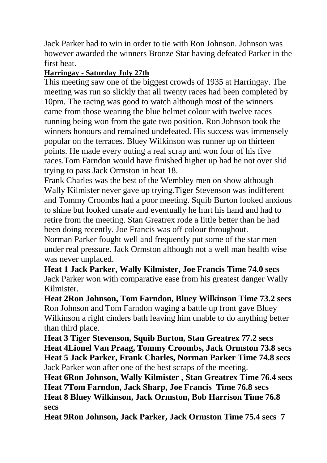Jack Parker had to win in order to tie with Ron Johnson. Johnson was however awarded the winners Bronze Star having defeated Parker in the first heat.

## **Harringay - Saturday July 27th**

This meeting saw one of the biggest crowds of 1935 at Harringay. The meeting was run so slickly that all twenty races had been completed by 10pm. The racing was good to watch although most of the winners came from those wearing the blue helmet colour with twelve races running being won from the gate two position. Ron Johnson took the winners honours and remained undefeated. His success was immensely popular on the terraces. Bluey Wilkinson was runner up on thirteen points. He made every outing a real scrap and won four of his five races.Tom Farndon would have finished higher up had he not over slid trying to pass Jack Ormston in heat 18.

Frank Charles was the best of the Wembley men on show although Wally Kilmister never gave up trying.Tiger Stevenson was indifferent and Tommy Croombs had a poor meeting. Squib Burton looked anxious to shine but looked unsafe and eventually he hurt his hand and had to retire from the meeting. Stan Greatrex rode a little better than he had been doing recently. Joe Francis was off colour throughout.

Norman Parker fought well and frequently put some of the star men under real pressure. Jack Ormston although not a well man health wise was never unplaced.

**Heat 1 Jack Parker, Wally Kilmister, Joe Francis Time 74.0 secs** Jack Parker won with comparative ease from his greatest danger Wally Kilmister.

**Heat 2Ron Johnson, Tom Farndon, Bluey Wilkinson Time 73.2 secs** Ron Johnson and Tom Farndon waging a battle up front gave Bluey Wilkinson a right cinders bath leaving him unable to do anything better than third place.

**Heat 3 Tiger Stevenson, Squib Burton, Stan Greatrex 77.2 secs Heat 4Lionel Van Praag, Tommy Croombs, Jack Ormston 73.8 secs Heat 5 Jack Parker, Frank Charles, Norman Parker Time 74.8 secs** Jack Parker won after one of the best scraps of the meeting.

**Heat 6Ron Johnson, Wally Kilmister , Stan Greatrex Time 76.4 secs Heat 7Tom Farndon, Jack Sharp, Joe Francis Time 76.8 secs Heat 8 Bluey Wilkinson, Jack Ormston, Bob Harrison Time 76.8 secs**

**Heat 9Ron Johnson, Jack Parker, Jack Ormston Time 75.4 secs 7**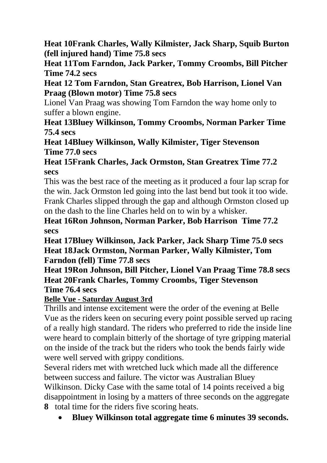**Heat 10Frank Charles, Wally Kilmister, Jack Sharp, Squib Burton (fell injured hand) Time 75.8 secs**

**Heat 11Tom Farndon, Jack Parker, Tommy Croombs, Bill Pitcher Time 74.2 secs**

**Heat 12 Tom Farndon, Stan Greatrex, Bob Harrison, Lionel Van Praag (Blown motor) Time 75.8 secs** 

Lionel Van Praag was showing Tom Farndon the way home only to suffer a blown engine.

**Heat 13Bluey Wilkinson, Tommy Croombs, Norman Parker Time 75.4 secs**

**Heat 14Bluey Wilkinson, Wally Kilmister, Tiger Stevenson Time 77.0 secs**

## **Heat 15Frank Charles, Jack Ormston, Stan Greatrex Time 77.2 secs**

This was the best race of the meeting as it produced a four lap scrap for the win. Jack Ormston led going into the last bend but took it too wide. Frank Charles slipped through the gap and although Ormston closed up on the dash to the line Charles held on to win by a whisker.

**Heat 16Ron Johnson, Norman Parker, Bob Harrison Time 77.2 secs**

**Heat 17Bluey Wilkinson, Jack Parker, Jack Sharp Time 75.0 secs Heat 18Jack Ormston, Norman Parker, Wally Kilmister, Tom Farndon (fell) Time 77.8 secs** 

**Heat 19Ron Johnson, Bill Pitcher, Lionel Van Praag Time 78.8 secs Heat 20Frank Charles, Tommy Croombs, Tiger Stevenson Time 76.4 secs**

**Belle Vue - Saturday August 3rd**

Thrills and intense excitement were the order of the evening at Belle Vue as the riders keen on securing every point possible served up racing of a really high standard. The riders who preferred to ride the inside line were heard to complain bitterly of the shortage of tyre gripping material on the inside of the track but the riders who took the bends fairly wide were well served with grippy conditions.

Several riders met with wretched luck which made all the difference between success and failure. The victor was Australian Bluey Wilkinson. Dicky Case with the same total of 14 points received a big disappointment in losing by a matters of three seconds on the aggregate **8** total time for the riders five scoring heats.

**Bluey Wilkinson total aggregate time 6 minutes 39 seconds.**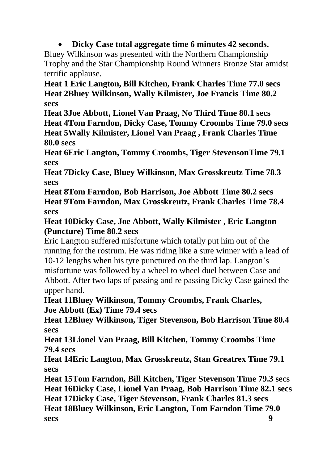**Dicky Case total aggregate time 6 minutes 42 seconds.**

Bluey Wilkinson was presented with the Northern Championship Trophy and the Star Championship Round Winners Bronze Star amidst terrific applause.

**Heat 1 Eric Langton, Bill Kitchen, Frank Charles Time 77.0 secs Heat 2Bluey Wilkinson, Wally Kilmister, Joe Francis Time 80.2 secs**

**Heat 3Joe Abbott, Lionel Van Praag, No Third Time 80.1 secs**

**Heat 4Tom Farndon, Dicky Case, Tommy Croombs Time 79.0 secs Heat 5Wally Kilmister, Lionel Van Praag , Frank Charles Time 80.0 secs**

**Heat 6Eric Langton, Tommy Croombs, Tiger StevensonTime 79.1 secs**

**Heat 7Dicky Case, Bluey Wilkinson, Max Grosskreutz Time 78.3 secs**

**Heat 8Tom Farndon, Bob Harrison, Joe Abbott Time 80.2 secs Heat 9Tom Farndon, Max Grosskreutz, Frank Charles Time 78.4 secs**

**Heat 10Dicky Case, Joe Abbott, Wally Kilmister , Eric Langton (Puncture) Time 80.2 secs**

Eric Langton suffered misfortune which totally put him out of the running for the rostrum. He was riding like a sure winner with a lead of 10-12 lengths when his tyre punctured on the third lap. Langton's misfortune was followed by a wheel to wheel duel between Case and Abbott. After two laps of passing and re passing Dicky Case gained the upper hand.

**Heat 11Bluey Wilkinson, Tommy Croombs, Frank Charles, Joe Abbott (Ex) Time 79.4 secs** 

**Heat 12Bluey Wilkinson, Tiger Stevenson, Bob Harrison Time 80.4 secs** 

**Heat 13Lionel Van Praag, Bill Kitchen, Tommy Croombs Time 79.4 secs** 

**Heat 14Eric Langton, Max Grosskreutz, Stan Greatrex Time 79.1 secs**

**Heat 15Tom Farndon, Bill Kitchen, Tiger Stevenson Time 79.3 secs Heat 16Dicky Case, Lionel Van Praag, Bob Harrison Time 82.1 secs Heat 17Dicky Case, Tiger Stevenson, Frank Charles 81.3 secs Heat 18Bluey Wilkinson, Eric Langton, Tom Farndon Time 79.0 secs 9**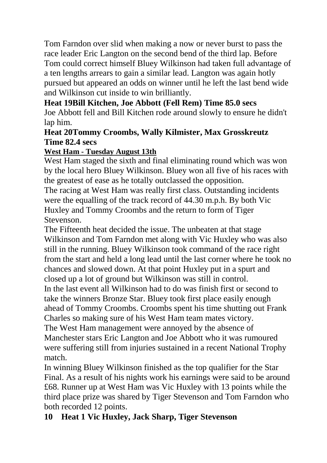Tom Farndon over slid when making a now or never burst to pass the race leader Eric Langton on the second bend of the third lap. Before Tom could correct himself Bluey Wilkinson had taken full advantage of a ten lengths arrears to gain a similar lead. Langton was again hotly pursued but appeared an odds on winner until he left the last bend wide and Wilkinson cut inside to win brilliantly.

## **Heat 19Bill Kitchen, Joe Abbott (Fell Rem) Time 85.0 secs**

Joe Abbott fell and Bill Kitchen rode around slowly to ensure he didn't lap him.

## **Heat 20Tommy Croombs, Wally Kilmister, Max Grosskreutz Time 82.4 secs**

## **West Ham - Tuesday August 13th**

West Ham staged the sixth and final eliminating round which was won by the local hero Bluey Wilkinson. Bluey won all five of his races with the greatest of ease as he totally outclassed the opposition.

The racing at West Ham was really first class. Outstanding incidents were the equalling of the track record of 44.30 m.p.h. By both Vic Huxley and Tommy Croombs and the return to form of Tiger Stevenson.

The Fifteenth heat decided the issue. The unbeaten at that stage Wilkinson and Tom Farndon met along with Vic Huxley who was also still in the running. Bluey Wilkinson took command of the race right from the start and held a long lead until the last corner where he took no chances and slowed down. At that point Huxley put in a spurt and closed up a lot of ground but Wilkinson was still in control.

In the last event all Wilkinson had to do was finish first or second to take the winners Bronze Star. Bluey took first place easily enough ahead of Tommy Croombs. Croombs spent his time shutting out Frank Charles so making sure of his West Ham team mates victory.

The West Ham management were annoyed by the absence of Manchester stars Eric Langton and Joe Abbott who it was rumoured were suffering still from injuries sustained in a recent National Trophy match.

In winning Bluey Wilkinson finished as the top qualifier for the Star Final. As a result of his nights work his earnings were said to be around £68. Runner up at West Ham was Vic Huxley with 13 points while the third place prize was shared by Tiger Stevenson and Tom Farndon who both recorded 12 points.

## **10 Heat 1 Vic Huxley, Jack Sharp, Tiger Stevenson**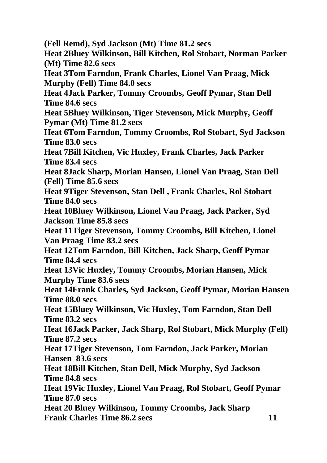**(Fell Remd), Syd Jackson (Mt) Time 81.2 secs Heat 2Bluey Wilkinson, Bill Kitchen, Rol Stobart, Norman Parker (Mt) Time 82.6 secs Heat 3Tom Farndon, Frank Charles, Lionel Van Praag, Mick Murphy (Fell) Time 84.0 secs Heat 4Jack Parker, Tommy Croombs, Geoff Pymar, Stan Dell Time 84.6 secs Heat 5Bluey Wilkinson, Tiger Stevenson, Mick Murphy, Geoff Pymar (Mt) Time 81.2 secs Heat 6Tom Farndon, Tommy Croombs, Rol Stobart, Syd Jackson Time 83.0 secs Heat 7Bill Kitchen, Vic Huxley, Frank Charles, Jack Parker Time 83.4 secs Heat 8Jack Sharp, Morian Hansen, Lionel Van Praag, Stan Dell (Fell) Time 85.6 secs Heat 9Tiger Stevenson, Stan Dell , Frank Charles, Rol Stobart Time 84.0 secs Heat 10Bluey Wilkinson, Lionel Van Praag, Jack Parker, Syd Jackson Time 85.8 secs Heat 11Tiger Stevenson, Tommy Croombs, Bill Kitchen, Lionel Van Praag Time 83.2 secs Heat 12Tom Farndon, Bill Kitchen, Jack Sharp, Geoff Pymar Time 84.4 secs Heat 13Vic Huxley, Tommy Croombs, Morian Hansen, Mick Murphy Time 83.6 secs Heat 14Frank Charles, Syd Jackson, Geoff Pymar, Morian Hansen Time 88.0 secs Heat 15Bluey Wilkinson, Vic Huxley, Tom Farndon, Stan Dell Time 83.2 secs Heat 16Jack Parker, Jack Sharp, Rol Stobart, Mick Murphy (Fell) Time 87.2 secs Heat 17Tiger Stevenson, Tom Farndon, Jack Parker, Morian Hansen 83.6 secs Heat 18Bill Kitchen, Stan Dell, Mick Murphy, Syd Jackson Time 84.8 secs Heat 19Vic Huxley, Lionel Van Praag, Rol Stobart, Geoff Pymar Time 87.0 secs Heat 20 Bluey Wilkinson, Tommy Croombs, Jack Sharp Frank Charles Time 86.2 secs 11**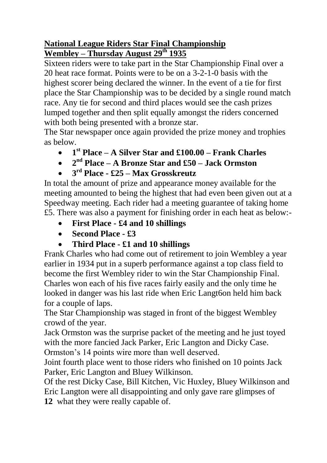## **National League Riders Star Final Championship Wembley – Thursday August 29th 1935**

Sixteen riders were to take part in the Star Championship Final over a 20 heat race format. Points were to be on a 3-2-1-0 basis with the highest scorer being declared the winner. In the event of a tie for first place the Star Championship was to be decided by a single round match race. Any tie for second and third places would see the cash prizes lumped together and then split equally amongst the riders concerned with both being presented with a bronze star.

The Star newspaper once again provided the prize money and trophies as below.

- **1 st Place – A Silver Star and £100.00 – Frank Charles**
- **2 nd Place – A Bronze Star and £50 – Jack Ormston**
- **3 rd Place - £25 – Max Grosskreutz**

In total the amount of prize and appearance money available for the meeting amounted to being the highest that had even been given out at a Speedway meeting. Each rider had a meeting guarantee of taking home £5. There was also a payment for finishing order in each heat as below:-

- **First Place - £4 and 10 shillings**
- **Second Place - £3**
- **Third Place - £1 and 10 shillings**

Frank Charles who had come out of retirement to join Wembley a year earlier in 1934 put in a superb performance against a top class field to become the first Wembley rider to win the Star Championship Final. Charles won each of his five races fairly easily and the only time he looked in danger was his last ride when Eric Langt6on held him back for a couple of laps.

The Star Championship was staged in front of the biggest Wembley crowd of the year.

Jack Ormston was the surprise packet of the meeting and he just toyed with the more fancied Jack Parker, Eric Langton and Dicky Case. Ormston's 14 points wire more than well deserved.

Joint fourth place went to those riders who finished on 10 points Jack Parker, Eric Langton and Bluey Wilkinson.

Of the rest Dicky Case, Bill Kitchen, Vic Huxley, Bluey Wilkinson and Eric Langton were all disappointing and only gave rare glimpses of **12** what they were really capable of.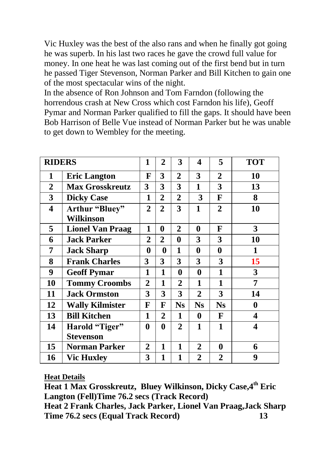Vic Huxley was the best of the also rans and when he finally got going he was superb. In his last two races he gave the crowd full value for money. In one heat he was last coming out of the first bend but in turn he passed Tiger Stevenson, Norman Parker and Bill Kitchen to gain one of the most spectacular wins of the night.

In the absence of Ron Johnson and Tom Farndon (following the horrendous crash at New Cross which cost Farndon his life), Geoff Pymar and Norman Parker qualified to fill the gaps. It should have been Bob Harrison of Belle Vue instead of Norman Parker but he was unable to get down to Wembley for the meeting.

| <b>RIDERS</b>           |                         | 1              | $\overline{2}$ | 3              | 4              | 5              | <b>TOT</b> |
|-------------------------|-------------------------|----------------|----------------|----------------|----------------|----------------|------------|
| 1                       | <b>Eric Langton</b>     | F              | 3              | $\overline{2}$ | 3              | $\overline{2}$ | 10         |
| $\overline{2}$          | <b>Max Grosskreutz</b>  | 3              | 3              | 3              | 1              | 3              | 13         |
| 3                       | <b>Dicky Case</b>       | 1              | $\overline{2}$ | $\overline{2}$ | 3              | F              | 8          |
| $\overline{\mathbf{4}}$ | Arthur "Bluey"          | $\overline{2}$ | $\overline{2}$ | 3              | 1              | $\overline{2}$ | 10         |
|                         | Wilkinson               |                |                |                |                |                |            |
| 5                       | <b>Lionel Van Praag</b> | 1              | 0              | $\overline{2}$ | 0              | F              | 3          |
| 6                       | <b>Jack Parker</b>      | $\overline{2}$ | 2              | 0              | 3              | 3              | 10         |
| 7                       | <b>Jack Sharp</b>       | 0              | $\bf{0}$       | 1              | $\bf{0}$       | $\bf{0}$       | 1          |
| 8                       | <b>Frank Charles</b>    | 3              | 3              | 3              | 3              | 3              | 15         |
| 9                       | <b>Geoff Pymar</b>      | 1              | 1              | $\bf{0}$       | $\bf{0}$       | 1              | 3          |
| 10                      | <b>Tommy Croombs</b>    | $\overline{2}$ | 1              | $\overline{2}$ | 1              | 1              | 7          |
| 11                      | <b>Jack Ormston</b>     | 3              | 3              | 3              | $\overline{2}$ | 3              | 14         |
| 12                      | <b>Wally Kilmister</b>  | F              | F              | <b>Ns</b>      | <b>Ns</b>      | <b>Ns</b>      | $\bf{0}$   |
| 13                      | <b>Bill Kitchen</b>     | 1              | 2              | 1              | $\bf{0}$       | F              | 4          |
| 14                      | Harold "Tiger"          | $\bf{0}$       | 0              | $\overline{2}$ | 1              | 1              | 4          |
|                         | <b>Stevenson</b>        |                |                |                |                |                |            |
| 15                      | Norman Parker           | $\overline{2}$ | 1              | 1              | $\overline{2}$ | 0              | 6          |
| 16                      | <b>Vic Huxley</b>       | 3              | $\mathbf{1}$   | $\mathbf{1}$   | $\overline{2}$ | $\overline{2}$ | 9          |

**Heat Details**

**Heat 1 Max Grosskreutz, Bluey Wilkinson, Dicky Case,4 th Eric Langton (Fell)Time 76.2 secs (Track Record) Heat 2 Frank Charles, Jack Parker, Lionel Van Praag,Jack Sharp Time 76.2 secs (Equal Track Record) 13**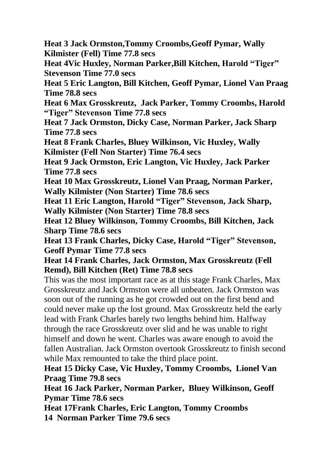**Heat 3 Jack Ormston,Tommy Croombs,Geoff Pymar, Wally Kilmister (Fell) Time 77.8 secs**

**Heat 4Vic Huxley, Norman Parker,Bill Kitchen, Harold "Tiger" Stevenson Time 77.0 secs**

**Heat 5 Eric Langton, Bill Kitchen, Geoff Pymar, Lionel Van Praag Time 78.8 secs**

**Heat 6 Max Grosskreutz, Jack Parker, Tommy Croombs, Harold "Tiger" Stevenson Time 77.8 secs**

**Heat 7 Jack Ormston, Dicky Case, Norman Parker, Jack Sharp Time 77.8 secs**

**Heat 8 Frank Charles, Bluey Wilkinson, Vic Huxley, Wally Kilmister (Fell Non Starter) Time 76.4 secs**

**Heat 9 Jack Ormston, Eric Langton, Vic Huxley, Jack Parker Time 77.8 secs**

**Heat 10 Max Grosskreutz, Lionel Van Praag, Norman Parker, Wally Kilmister (Non Starter) Time 78.6 secs**

**Heat 11 Eric Langton, Harold "Tiger" Stevenson, Jack Sharp, Wally Kilmister (Non Starter) Time 78.8 secs**

**Heat 12 Bluey Wilkinson, Tommy Croombs, Bill Kitchen, Jack Sharp Time 78.6 secs**

**Heat 13 Frank Charles, Dicky Case, Harold "Tiger" Stevenson, Geoff Pymar Time 77.8 secs**

**Heat 14 Frank Charles, Jack Ormston, Max Grosskreutz (Fell Remd), Bill Kitchen (Ret) Time 78.8 secs**

This was the most important race as at this stage Frank Charles, Max Grosskreutz and Jack Ormston were all unbeaten. Jack Ormston was soon out of the running as he got crowded out on the first bend and could never make up the lost ground. Max Grosskreutz held the early lead with Frank Charles barely two lengths behind him. Halfway through the race Grosskreutz over slid and he was unable to right himself and down he went. Charles was aware enough to avoid the fallen Australian. Jack Ormston overtook Grosskreutz to finish second while Max remounted to take the third place point.

**Heat 15 Dicky Case, Vic Huxley, Tommy Croombs, Lionel Van Praag Time 79.8 secs**

**Heat 16 Jack Parker, Norman Parker, Bluey Wilkinson, Geoff Pymar Time 78.6 secs**

**Heat 17Frank Charles, Eric Langton, Tommy Croombs 14 Norman Parker Time 79.6 secs**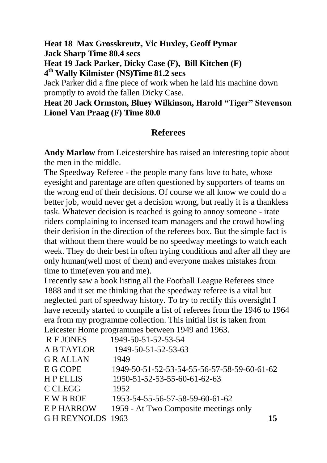**Heat 18 Max Grosskreutz, Vic Huxley, Geoff Pymar Jack Sharp Time 80.4 secs Heat 19 Jack Parker, Dicky Case (F), Bill Kitchen (F)**

**4 th Wally Kilmister (NS)Time 81.2 secs**

Jack Parker did a fine piece of work when he laid his machine down promptly to avoid the fallen Dicky Case.

## **Heat 20 Jack Ormston, Bluey Wilkinson, Harold "Tiger" Stevenson Lionel Van Praag (F) Time 80.0**

# **Referees**

**Andy Marlow** from Leicestershire has raised an interesting topic about the men in the middle.

The Speedway Referee - the people many fans love to hate, whose eyesight and parentage are often questioned by supporters of teams on the wrong end of their decisions. Of course we all know we could do a better job, would never get a decision wrong, but really it is a thankless task. Whatever decision is reached is going to annoy someone - irate riders complaining to incensed team managers and the crowd howling their derision in the direction of the referees box. But the simple fact is that without them there would be no speedway meetings to watch each week. They do their best in often trying conditions and after all they are only human(well most of them) and everyone makes mistakes from time to time(even you and me).

I recently saw a book listing all the Football League Referees since 1888 and it set me thinking that the speedway referee is a vital but neglected part of speedway history. To try to rectify this oversight I have recently started to compile a list of referees from the 1946 to 1964 era from my programme collection. This initial list is taken from Leicester Home programmes between 1949 and 1963.

| <b>R F JONES</b>  | 1949-50-51-52-53-54                         |    |
|-------------------|---------------------------------------------|----|
| A B TAYLOR        | 1949-50-51-52-53-63                         |    |
| <b>GRALLAN</b>    | 1949                                        |    |
| E G COPE          | 1949-50-51-52-53-54-55-56-57-58-59-60-61-62 |    |
| <b>HPELLIS</b>    | 1950-51-52-53-55-60-61-62-63                |    |
| C CLEGG           | 1952                                        |    |
| E W B ROE         | 1953-54-55-56-57-58-59-60-61-62             |    |
| <b>EPHARROW</b>   | 1959 - At Two Composite meetings only       |    |
| G H REYNOLDS 1963 |                                             | 15 |
|                   |                                             |    |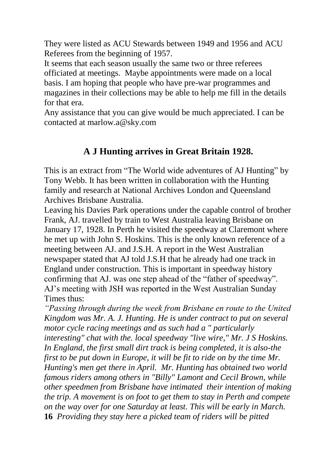They were listed as ACU Stewards between 1949 and 1956 and ACU Referees from the beginning of 1957.

It seems that each season usually the same two or three referees officiated at meetings. Maybe appointments were made on a local basis. I am hoping that people who have pre-war programmes and magazines in their collections may be able to help me fill in the details for that era.

Any assistance that you can give would be much appreciated. I can be contacted at marlow.a@sky.com

# **A J Hunting arrives in Great Britain 1928.**

This is an extract from "The World wide adventures of AJ Hunting" by Tony Webb. It has been written in collaboration with the Hunting family and research at National Archives London and Queensland Archives Brisbane Australia.

Leaving his Davies Park operations under the capable control of brother Frank, AJ. travelled by train to West Australia leaving Brisbane on January 17, 1928. In Perth he visited the speedway at Claremont where he met up with John S. Hoskins. This is the only known reference of a meeting between AJ. and J.S.H. A report in the West Australian newspaper stated that AJ told J.S.H that he already had one track in England under construction. This is important in speedway history confirming that AJ. was one step ahead of the "father of speedway". AJ's meeting with JSH was reported in the West Australian Sunday Times thus:

*"Passing through during the week from Brisbane en route to the United Kingdom was Mr. A. J. Hunting. He is under contract to put on several motor cycle racing meetings and as such had a " particularly interesting" chat with the. local speedway "live wire," Mr. J S Hoskins. In England, the first small dirt track is being completed, it is also-the first to be put down in Europe, it will be fit to ride on by the time Mr. Hunting's men get there in April. Mr. Hunting has obtained two world famous riders among others in "Billy" Lamont and Cecil Brown, while other speedmen from Brisbane have intimated their intention of making the trip. A movement is on foot to get them to stay in Perth and compete on the way over for one Saturday at least. This will be early in March.*  **16** *Providing they stay here a picked team of riders will be pitted*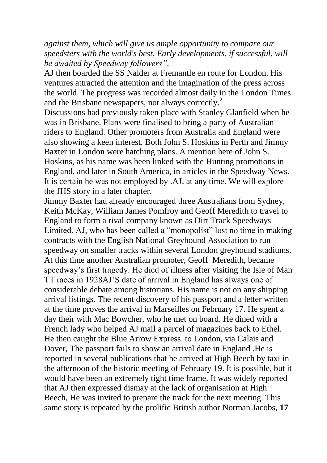*against them, which will give us ample opportunity to compare our speedsters with the world's best. Early developments, if successful, will be awaited by Speedway followers"*.

AJ then boarded the SS Nalder at Fremantle en route for London. His ventures attracted the attention and the imagination of the press across the world. The progress was recorded almost daily in the London Times and the Brisbane newspapers, not always correctly.<sup>2</sup>

Discussions had previously taken place with Stanley Glanfield when he was in Brisbane. Plans were finalised to bring a party of Australian riders to England. Other promoters from Australia and England were also showing a keen interest. Both John S. Hoskins in Perth and Jimmy Baxter in London were hatching plans. A mention here of John S. Hoskins, as his name was been linked with the Hunting promotions in England, and later in South America, in articles in the Speedway News. It is certain he was not employed by .AJ. at any time. We will explore the JHS story in a later chapter.

Jimmy Baxter had already encouraged three Australians from Sydney, Keith McKay, William James Pomfroy and Geoff Meredith to travel to England to form a rival company known as Dirt Track Speedways Limited. AJ, who has been called a "monopolist" lost no time in making contracts with the English National Greyhound Association to run speedway on smaller tracks within several London greyhound stadiums. At this time another Australian promoter, Geoff Meredith, became speedway's first tragedy. He died of illness after visiting the Isle of Man TT races in 1928AJ'S date of arrival in England has always one of considerable debate among historians. His name is not on any shipping arrival listings. The recent discovery of his passport and a letter written at the time proves the arrival in Marseilles on February 17. He spent a day their with Mac Bowcher, who he met on board. He dined with a French lady who helped AJ mail a parcel of magazines back to Ethel. He then caught the Blue Arrow Express to London, via Calais and Dover, The passport fails to show an arrival date in England .He is reported in several publications that he arrived at High Beech by taxi in the afternoon of the historic meeting of February 19. It is possible, but it would have been an extremely tight time frame. It was widely reported that AJ then expressed dismay at the lack of organisation at High Beech, He was invited to prepare the track for the next meeting. This same story is repeated by the prolific British author Norman Jacobs, **17**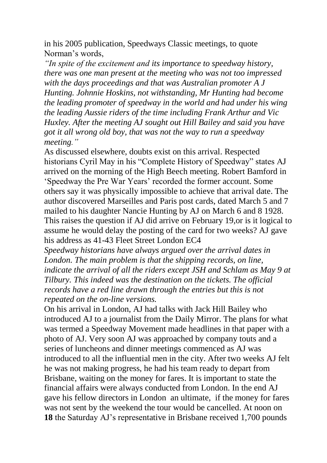in his 2005 publication, Speedways Classic meetings, to quote Norman's words,

*"In spite of the excitement and its importance to speedway history, there was one man present at the meeting who was not too impressed with the days proceedings and that was Australian promoter A J Hunting. Johnnie Hoskins, not withstanding, Mr Hunting had become the leading promoter of speedway in the world and had under his wing the leading Aussie riders of the time including Frank Arthur and Vic Huxley. After the meeting AJ sought out Hill Bailey and said you have got it all wrong old boy, that was not the way to run a speedway meeting."*

As discussed elsewhere, doubts exist on this arrival. Respected historians Cyril May in his "Complete History of Speedway" states AJ arrived on the morning of the High Beech meeting. Robert Bamford in 'Speedway the Pre War Years' recorded the former account. Some others say it was physically impossible to achieve that arrival date. The author discovered Marseilles and Paris post cards, dated March 5 and 7 mailed to his daughter Nancie Hunting by AJ on March 6 and 8 1928. This raises the question if AJ did arrive on February 19,or is it logical to assume he would delay the posting of the card for two weeks? AJ gave his address as 41-43 Fleet Street London EC4

*Speedway historians have always argued over the arrival dates in London. The main problem is that the shipping records, on line, indicate the arrival of all the riders except JSH and Schlam as May 9 at Tilbury. This indeed was the destination on the tickets. The official records have a red line drawn through the entries but this is not repeated on the on-line versions.* 

On his arrival in London, AJ had talks with Jack Hill Bailey who introduced AJ to a journalist from the Daily Mirror. The plans for what was termed a Speedway Movement made headlines in that paper with a photo of AJ. Very soon AJ was approached by company touts and a series of luncheons and dinner meetings commenced as AJ was introduced to all the influential men in the city. After two weeks AJ felt he was not making progress, he had his team ready to depart from Brisbane, waiting on the money for fares. It is important to state the financial affairs were always conducted from London. In the end AJ gave his fellow directors in London an ultimate, if the money for fares was not sent by the weekend the tour would be cancelled. At noon on **18** the Saturday AJ's representative in Brisbane received 1,700 pounds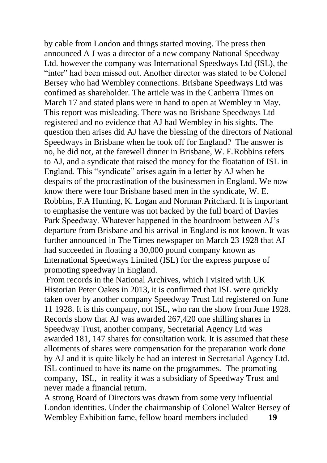by cable from London and things started moving. The press then announced A J was a director of a new company National Speedway Ltd. however the company was International Speedways Ltd (ISL), the "inter" had been missed out. Another director was stated to be Colonel Bersey who had Wembley connections. Brisbane Speedways Ltd was confimed as shareholder. The article was in the Canberra Times on March 17 and stated plans were in hand to open at Wembley in May. This report was misleading. There was no Brisbane Speedways Ltd registered and no evidence that AJ had Wembley in his sights. The question then arises did AJ have the blessing of the directors of National Speedways in Brisbane when he took off for England? The answer is no, he did not, at the farewell dinner in Brisbane, W. E.Robbins refers to AJ, and a syndicate that raised the money for the floatation of ISL in England. This "syndicate" arises again in a letter by AJ when he despairs of the procrastination of the businessmen in England. We now know there were four Brisbane based men in the syndicate, W. E. Robbins, F.A Hunting, K. Logan and Norman Pritchard. It is important to emphasise the venture was not backed by the full board of Davies Park Speedway. Whatever happened in the boardroom between AJ's departure from Brisbane and his arrival in England is not known. It was further announced in The Times newspaper on March 23 1928 that AJ had succeeded in floating a 30,000 pound company known as International Speedways Limited (ISL) for the express purpose of promoting speedway in England.

From records in the National Archives, which I visited with UK Historian Peter Oakes in 2013, it is confirmed that ISL were quickly taken over by another company Speedway Trust Ltd registered on June 11 1928. It is this company, not ISL, who ran the show from June 1928. Records show that AJ was awarded 267,420 one shilling shares in Speedway Trust, another company, Secretarial Agency Ltd was awarded 181, 147 shares for consultation work. It is assumed that these allotments of shares were compensation for the preparation work done by AJ and it is quite likely he had an interest in Secretarial Agency Ltd. ISL continued to have its name on the programmes. The promoting company, ISL, in reality it was a subsidiary of Speedway Trust and never made a financial return.

A strong Board of Directors was drawn from some very influential London identities. Under the chairmanship of Colonel Walter Bersey of Wembley Exhibition fame, fellow board members included **19**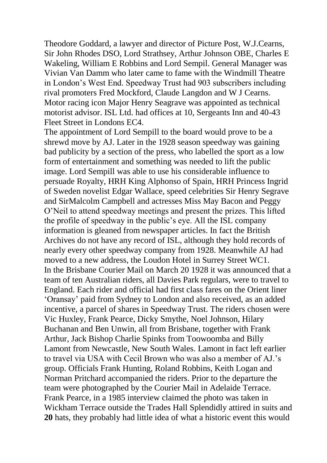Theodore Goddard, a lawyer and director of Picture Post, W.J.Cearns, Sir John Rhodes DSO, Lord Strathsey, Arthur Johnson OBE, Charles E Wakeling, William E Robbins and Lord Sempil. General Manager was Vivian Van Damm who later came to fame with the Windmill Theatre in London's West End. Speedway Trust had 903 subscribers including rival promoters Fred Mockford, Claude Langdon and W J Cearns. Motor racing icon Major Henry Seagrave was appointed as technical motorist advisor. ISL Ltd. had offices at 10, Sergeants Inn and 40-43 Fleet Street in Londons EC4.

The appointment of Lord Sempill to the board would prove to be a shrewd move by AJ. Later in the 1928 season speedway was gaining bad publicity by a section of the press, who labelled the sport as a low form of entertainment and something was needed to lift the public image. Lord Sempill was able to use his considerable influence to persuade Royalty, HRH King Alphonso of Spain, HRH Princess Ingrid of Sweden novelist Edgar Wallace, speed celebrities Sir Henry Segrave and SirMalcolm Campbell and actresses Miss May Bacon and Peggy O'Neil to attend speedway meetings and present the prizes. This lifted the profile of speedway in the public's eye. All the ISL company information is gleaned from newspaper articles. In fact the British Archives do not have any record of ISL, although they hold records of nearly every other speedway company from 1928. Meanwhile AJ had moved to a new address, the Loudon Hotel in Surrey Street WC1. In the Brisbane Courier Mail on March 20 1928 it was announced that a team of ten Australian riders, all Davies Park regulars, were to travel to England. Each rider and official had first class fares on the Orient liner 'Oransay' paid from Sydney to London and also received, as an added incentive, a parcel of shares in Speedway Trust. The riders chosen were Vic Huxley, Frank Pearce, Dicky Smythe, Noel Johnson, Hilary Buchanan and Ben Unwin, all from Brisbane, together with Frank Arthur, Jack Bishop Charlie Spinks from Toowoomba and Billy Lamont from Newcastle, New South Wales. Lamont in fact left earlier to travel via USA with Cecil Brown who was also a member of AJ.'s group. Officials Frank Hunting, Roland Robbins, Keith Logan and Norman Pritchard accompanied the riders. Prior to the departure the team were photographed by the Courier Mail in Adelaide Terrace. Frank Pearce, in a 1985 interview claimed the photo was taken in Wickham Terrace outside the Trades Hall Splendidly attired in suits and **20** hats, they probably had little idea of what a historic event this would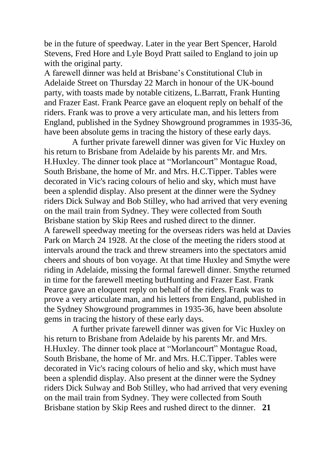be in the future of speedway. Later in the year Bert Spencer, Harold Stevens, Fred Hore and Lyle Boyd Pratt sailed to England to join up with the original party.

A farewell dinner was held at Brisbane's Constitutional Club in Adelaide Street on Thursday 22 March in honour of the UK-bound party, with toasts made by notable citizens, L.Barratt, Frank Hunting and Frazer East. Frank Pearce gave an eloquent reply on behalf of the riders. Frank was to prove a very articulate man, and his letters from England, published in the Sydney Showground programmes in 1935-36, have been absolute gems in tracing the history of these early days.

A further private farewell dinner was given for Vic Huxley on his return to Brisbane from Adelaide by his parents Mr. and Mrs. H.Huxley. The dinner took place at "Morlancourt" Montague Road, South Brisbane, the home of Mr. and Mrs. H.C.Tipper. Tables were decorated in Vic's racing colours of helio and sky, which must have been a splendid display. Also present at the dinner were the Sydney riders Dick Sulway and Bob Stilley, who had arrived that very evening on the mail train from Sydney. They were collected from South Brisbane station by Skip Rees and rushed direct to the dinner. A farewell speedway meeting for the overseas riders was held at Davies Park on March 24 1928. At the close of the meeting the riders stood at intervals around the track and threw streamers into the spectators amid cheers and shouts of bon voyage. At that time Huxley and Smythe were riding in Adelaide, missing the formal farewell dinner. Smythe returned in time for the farewell meeting butHunting and Frazer East. Frank Pearce gave an eloquent reply on behalf of the riders. Frank was to prove a very articulate man, and his letters from England, published in the Sydney Showground programmes in 1935-36, have been absolute gems in tracing the history of these early days.

A further private farewell dinner was given for Vic Huxley on his return to Brisbane from Adelaide by his parents Mr. and Mrs. H.Huxley. The dinner took place at "Morlancourt" Montague Road, South Brisbane, the home of Mr. and Mrs. H.C.Tipper. Tables were decorated in Vic's racing colours of helio and sky, which must have been a splendid display. Also present at the dinner were the Sydney riders Dick Sulway and Bob Stilley, who had arrived that very evening on the mail train from Sydney. They were collected from South Brisbane station by Skip Rees and rushed direct to the dinner. **21**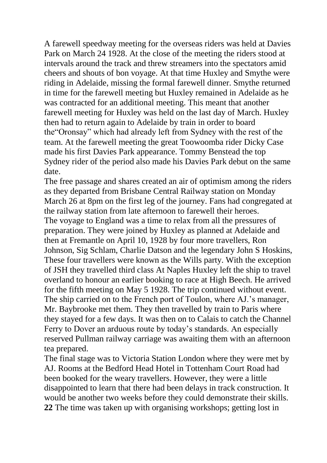A farewell speedway meeting for the overseas riders was held at Davies Park on March 24 1928. At the close of the meeting the riders stood at intervals around the track and threw streamers into the spectators amid cheers and shouts of bon voyage. At that time Huxley and Smythe were riding in Adelaide, missing the formal farewell dinner. Smythe returned in time for the farewell meeting but Huxley remained in Adelaide as he was contracted for an additional meeting. This meant that another farewell meeting for Huxley was held on the last day of March. Huxley then had to return again to Adelaide by train in order to board the"Oronsay" which had already left from Sydney with the rest of the team. At the farewell meeting the great Toowoomba rider Dicky Case made his first Davies Park appearance. Tommy Benstead the top Sydney rider of the period also made his Davies Park debut on the same date.

The free passage and shares created an air of optimism among the riders as they departed from Brisbane Central Railway station on Monday March 26 at 8pm on the first leg of the journey. Fans had congregated at the railway station from late afternoon to farewell their heroes. The voyage to England was a time to relax from all the pressures of preparation. They were joined by Huxley as planned at Adelaide and then at Fremantle on April 10, 1928 by four more travellers, Ron Johnson, Sig Schlam, Charlie Datson and the legendary John S Hoskins, These four travellers were known as the Wills party. With the exception of JSH they travelled third class At Naples Huxley left the ship to travel overland to honour an earlier booking to race at High Beech. He arrived for the fifth meeting on May 5 1928. The trip continued without event. The ship carried on to the French port of Toulon, where AJ.'s manager, Mr. Baybrooke met them. They then travelled by train to Paris where they stayed for a few days. It was then on to Calais to catch the Channel Ferry to Dover an arduous route by today's standards. An especially reserved Pullman railway carriage was awaiting them with an afternoon tea prepared.

The final stage was to Victoria Station London where they were met by AJ. Rooms at the Bedford Head Hotel in Tottenham Court Road had been booked for the weary travellers. However, they were a little disappointed to learn that there had been delays in track construction. It would be another two weeks before they could demonstrate their skills. **22** The time was taken up with organising workshops; getting lost in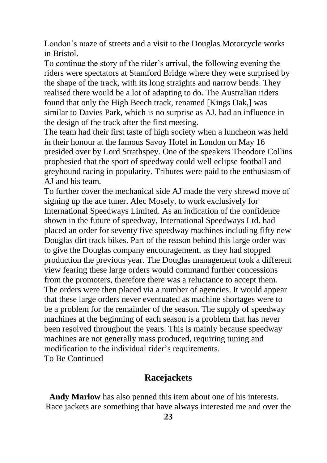London's maze of streets and a visit to the Douglas Motorcycle works in Bristol.

To continue the story of the rider's arrival, the following evening the riders were spectators at Stamford Bridge where they were surprised by the shape of the track, with its long straights and narrow bends. They realised there would be a lot of adapting to do. The Australian riders found that only the High Beech track, renamed [Kings Oak,] was similar to Davies Park, which is no surprise as AJ. had an influence in the design of the track after the first meeting.

The team had their first taste of high society when a luncheon was held in their honour at the famous Savoy Hotel in London on May 16 presided over by Lord Strathspey. One of the speakers Theodore Collins prophesied that the sport of speedway could well eclipse football and greyhound racing in popularity. Tributes were paid to the enthusiasm of AJ and his team.

To further cover the mechanical side AJ made the very shrewd move of signing up the ace tuner, Alec Mosely, to work exclusively for International Speedways Limited. As an indication of the confidence shown in the future of speedway, International Speedways Ltd. had placed an order for seventy five speedway machines including fifty new Douglas dirt track bikes. Part of the reason behind this large order was to give the Douglas company encouragement, as they had stopped production the previous year. The Douglas management took a different view fearing these large orders would command further concessions from the promoters, therefore there was a reluctance to accept them. The orders were then placed via a number of agencies. It would appear that these large orders never eventuated as machine shortages were to be a problem for the remainder of the season. The supply of speedway machines at the beginning of each season is a problem that has never been resolved throughout the years. This is mainly because speedway machines are not generally mass produced, requiring tuning and modification to the individual rider's requirements. To Be Continued

## **Racejackets**

**Andy Marlow** has also penned this item about one of his interests. Race jackets are something that have always interested me and over the